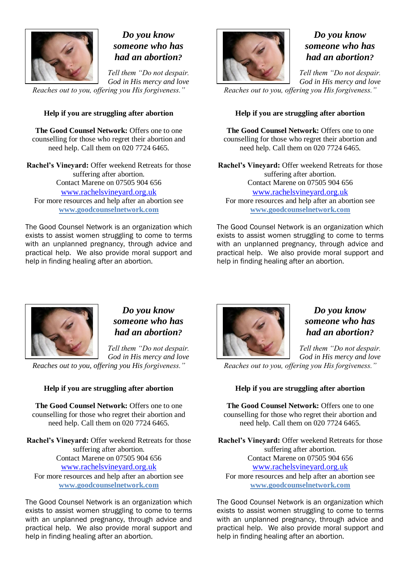

# *Do you know someone who has had an abortion?*

*Tell them "Do not despair. God in His mercy and love*

*Reaches out to you, offering you His forgiveness."*

## **Help if you are struggling after abortion**

**The Good Counsel Network:** Offers one to one counselling for those who regret their abortion and need help. Call them on 020 7724 6465.

**Rachel's Vineyard:** Offer weekend Retreats for those suffering after abortion. Contact Marene on 07505 904 656 [www.rachelsvineyard.org.uk](http://www.rachelsvineyard.org.uk/) For more resources and help after an abortion see **www.goodcounselnetwork.com**

The Good Counsel Network is an organization which exists to assist women struggling to come to terms with an unplanned pregnancy, through advice and practical help. We also provide moral support and help in finding healing after an abortion.



# *Do you know someone who has had an abortion?*

*Tell them "Do not despair. God in His mercy and love*

*Reaches out to you, offering you His forgiveness."*

### **Help if you are struggling after abortion**

The Good Counsel Network: Offers one to one counselling for those who regret their abortion and need help. Call them on 020 7724 6465.

**Rachel's Vineyard:** Offer weekend Retreats for those suffering after abortion. Contact Marene on 07505 904 656 [www.rachelsvineyard.org.uk](http://www.rachelsvineyard.org.uk/) For more resources and help after an abortion see **www.goodcounselnetwork.com**

The Good Counsel Network is an organization which exists to assist women struggling to come to terms with an unplanned pregnancy, through advice and practical help. We also provide moral support and help in finding healing after an abortion.



## *Do you know someone who has had an abortion?*

*Tell them "Do not despair. God in His mercy and love*

*Reaches out to you, offering you His forgiveness."*

## **Help if you are struggling after abortion**

**The Good Counsel Network:** Offers one to one counselling for those who regret their abortion and need help. Call them on 020 7724 6465.

**Rachel's Vineyard:** Offer weekend Retreats for those suffering after abortion. Contact Marene on 07505 904 656 [www.rachelsvineyard.org.uk](http://www.rachelsvineyard.org.uk/) For more resources and help after an abortion see **www.goodcounselnetwork.com**

The Good Counsel Network is an organization which exists to assist women struggling to come to terms with an unplanned pregnancy, through advice and practical help. We also provide moral support and help in finding healing after an abortion.



## *Do you know someone who has had an abortion?*

*Tell them "Do not despair. God in His mercy and love*

*Reaches out to you, offering you His forgiveness."*

### **Help if you are struggling after abortion**

**The Good Counsel Network: Offers one to one** counselling for those who regret their abortion and need help. Call them on 020 7724 6465.

**Rachel's Vineyard:** Offer weekend Retreats for those suffering after abortion. Contact Marene on 07505 904 656 [www.rachelsvineyard.org.uk](http://www.rachelsvineyard.org.uk/) For more resources and help after an abortion see **www.goodcounselnetwork.com**

The Good Counsel Network is an organization which exists to assist women struggling to come to terms with an unplanned pregnancy, through advice and practical help. We also provide moral support and help in finding healing after an abortion.